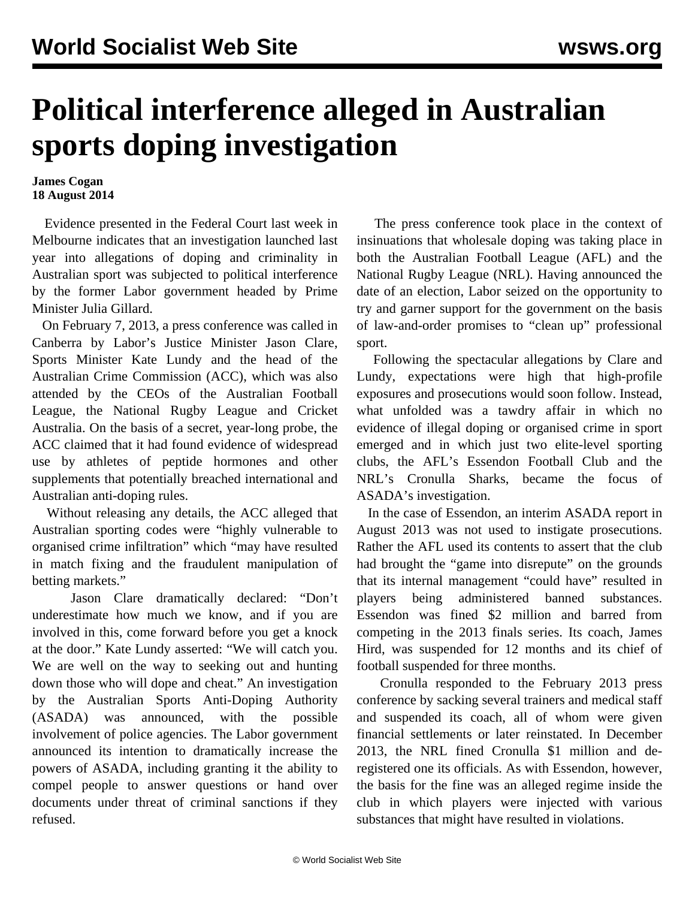## **Political interference alleged in Australian sports doping investigation**

## **James Cogan 18 August 2014**

 Evidence presented in the Federal Court last week in Melbourne indicates that an investigation launched last year into allegations of doping and criminality in Australian sport was subjected to political interference by the former Labor government headed by Prime Minister Julia Gillard.

 On February 7, 2013, a press conference was called in Canberra by Labor's Justice Minister Jason Clare, Sports Minister Kate Lundy and the head of the Australian Crime Commission (ACC), which was also attended by the CEOs of the Australian Football League, the National Rugby League and Cricket Australia. On the basis of a secret, year-long probe, the ACC claimed that it had found evidence of widespread use by athletes of peptide hormones and other supplements that potentially breached international and Australian anti-doping rules.

 Without releasing any details, the ACC alleged that Australian sporting codes were "highly vulnerable to organised crime infiltration" which "may have resulted in match fixing and the fraudulent manipulation of betting markets."

 Jason Clare dramatically declared: "Don't underestimate how much we know, and if you are involved in this, come forward before you get a knock at the door." Kate Lundy asserted: "We will catch you. We are well on the way to seeking out and hunting down those who will dope and cheat." An investigation by the Australian Sports Anti-Doping Authority (ASADA) was announced, with the possible involvement of police agencies. The Labor government announced its intention to dramatically increase the powers of ASADA, including granting it the ability to compel people to answer questions or hand over documents under threat of criminal sanctions if they refused.

 The press conference took place in the context of insinuations that wholesale doping was taking place in both the Australian Football League (AFL) and the National Rugby League (NRL). Having announced the date of an election, Labor seized on the opportunity to try and garner support for the government on the basis of law-and-order promises to "clean up" professional sport.

 Following the spectacular allegations by Clare and Lundy, expectations were high that high-profile exposures and prosecutions would soon follow. Instead, what unfolded was a tawdry affair in which no evidence of illegal doping or organised crime in sport emerged and in which just two elite-level sporting clubs, the AFL's Essendon Football Club and the NRL's Cronulla Sharks, became the focus of ASADA's investigation.

 In the case of Essendon, an interim ASADA report in August 2013 was not used to instigate prosecutions. Rather the AFL used its contents to assert that the club had brought the "game into disrepute" on the grounds that its internal management "could have" resulted in players being administered banned substances. Essendon was fined \$2 million and barred from competing in the 2013 finals series. Its coach, James Hird, was suspended for 12 months and its chief of football suspended for three months.

 Cronulla responded to the February 2013 press conference by sacking several trainers and medical staff and suspended its coach, all of whom were given financial settlements or later reinstated. In December 2013, the NRL fined Cronulla \$1 million and deregistered one its officials. As with Essendon, however, the basis for the fine was an alleged regime inside the club in which players were injected with various substances that might have resulted in violations.